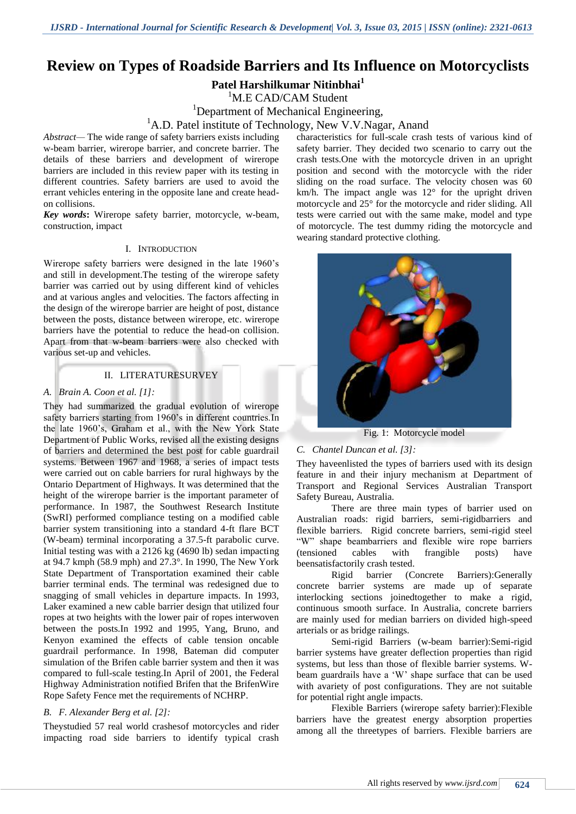# **Review on Types of Roadside Barriers and Its Influence on Motorcyclists**

**Patel Harshilkumar Nitinbhai<sup>1</sup>**

M.E CAD/CAM Student

<sup>1</sup>Department of Mechanical Engineering,

<sup>1</sup>A.D. Patel institute of Technology, New V.V.Nagar, Anand

*Abstract—* The wide range of safety barriers exists including w-beam barrier, wirerope barrier, and concrete barrier. The details of these barriers and development of wirerope barriers are included in this review paper with its testing in different countries. Safety barriers are used to avoid the errant vehicles entering in the opposite lane and create headon collisions.

*Key words***:** Wirerope safety barrier, motorcycle, w-beam, construction, impact

#### I. INTRODUCTION

Wirerope safety barriers were designed in the late 1960"s and still in development.The testing of the wirerope safety barrier was carried out by using different kind of vehicles and at various angles and velocities. The factors affecting in the design of the wirerope barrier are height of post, distance between the posts, distance between wirerope, etc. wirerope barriers have the potential to reduce the head-on collision. Apart from that w-beam barriers were also checked with various set-up and vehicles.

## II. LITERATURESURVEY

#### *A. Brain A. Coon et al. [1]:*

They had summarized the gradual evolution of wirerope safety barriers starting from 1960's in different countries. In the late 1960"s, Graham et al., with the New York State Department of Public Works, revised all the existing designs of barriers and determined the best post for cable guardrail systems. Between 1967 and 1968, a series of impact tests were carried out on cable barriers for rural highways by the Ontario Department of Highways. It was determined that the height of the wirerope barrier is the important parameter of performance. In 1987, the Southwest Research Institute (SwRI) performed compliance testing on a modified cable barrier system transitioning into a standard 4-ft flare BCT (W-beam) terminal incorporating a 37.5-ft parabolic curve. Initial testing was with a 2126 kg (4690 lb) sedan impacting at 94.7 kmph (58.9 mph) and 27.3°. In 1990, The New York State Department of Transportation examined their cable barrier terminal ends. The terminal was redesigned due to snagging of small vehicles in departure impacts. In 1993, Laker examined a new cable barrier design that utilized four ropes at two heights with the lower pair of ropes interwoven between the posts.In 1992 and 1995, Yang, Bruno, and Kenyon examined the effects of cable tension oncable guardrail performance. In 1998, Bateman did computer simulation of the Brifen cable barrier system and then it was compared to full-scale testing.In April of 2001, the Federal Highway Administration notified Brifen that the BrifenWire Rope Safety Fence met the requirements of NCHRP.

## *B. F. Alexander Berg et al. [2]:*

Theystudied 57 real world crashesof motorcycles and rider impacting road side barriers to identify typical crash

characteristics for full-scale crash tests of various kind of safety barrier. They decided two scenario to carry out the crash tests.One with the motorcycle driven in an upright position and second with the motorcycle with the rider sliding on the road surface. The velocity chosen was 60 km/h. The impact angle was  $12^{\circ}$  for the upright driven motorcycle and 25° for the motorcycle and rider sliding. All tests were carried out with the same make, model and type of motorcycle. The test dummy riding the motorcycle and wearing standard protective clothing.



Fig. 1: Motorcycle model

## *C. Chantel Duncan et al. [3]:*

They haveenlisted the types of barriers used with its design feature in and their injury mechanism at Department of Transport and Regional Services Australian Transport Safety Bureau, Australia.

There are three main types of barrier used on Australian roads: rigid barriers, semi-rigidbarriers and flexible barriers. Rigid concrete barriers, semi-rigid steel "W" shape beambarriers and flexible wire rope barriers (tensioned cables with frangible posts) have beensatisfactorily crash tested.

Rigid barrier (Concrete Barriers):Generally concrete barrier systems are made up of separate interlocking sections joinedtogether to make a rigid, continuous smooth surface. In Australia, concrete barriers are mainly used for median barriers on divided high-speed arterials or as bridge railings.

Semi-rigid Barriers (w-beam barrier):Semi-rigid barrier systems have greater deflection properties than rigid systems, but less than those of flexible barrier systems. Wbeam guardrails have a "W" shape surface that can be used with avariety of post configurations. They are not suitable for potential right angle impacts.

Flexible Barriers (wirerope safety barrier):Flexible barriers have the greatest energy absorption properties among all the threetypes of barriers. Flexible barriers are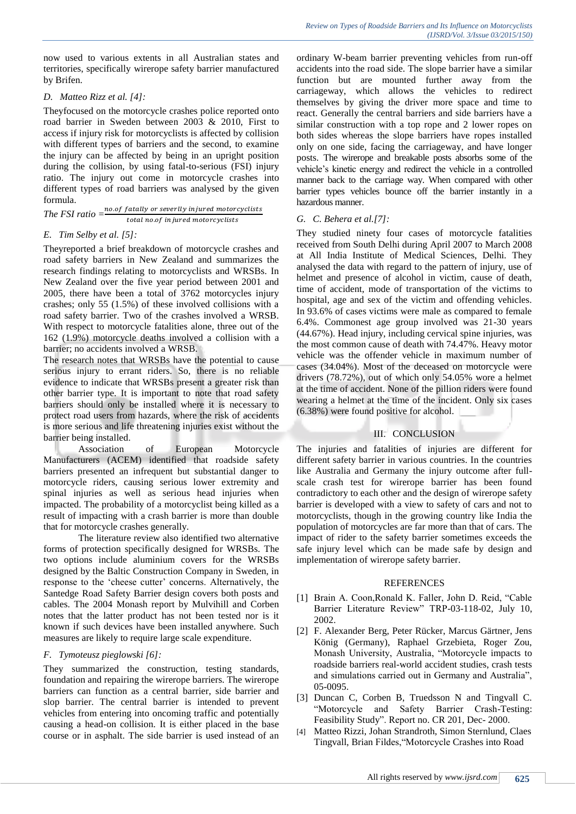now used to various extents in all Australian states and territories, specifically wirerope safety barrier manufactured by Brifen.

## *D. Matteo Rizz et al. [4]:*

Theyfocused on the motorcycle crashes police reported onto road barrier in Sweden between 2003 & 2010, First to access if injury risk for motorcyclists is affected by collision with different types of barriers and the second, to examine the injury can be affected by being in an upright position during the collision, by using fatal-to-serious (FSI) injury ratio. The injury out come in motorcycle crashes into different types of road barriers was analysed by the given formula.

*The FSI ratio =* total no.of in jured motorcyclists

#### *E. Tim Selby et al. [5]:*

Theyreported a brief breakdown of motorcycle crashes and road safety barriers in New Zealand and summarizes the research findings relating to motorcyclists and WRSBs. In New Zealand over the five year period between 2001 and 2005, there have been a total of 3762 motorcycles injury crashes; only 55 (1.5%) of these involved collisions with a road safety barrier. Two of the crashes involved a WRSB. With respect to motorcycle fatalities alone, three out of the 162 (1.9%) motorcycle deaths involved a collision with a barrier; no accidents involved a WRSB.

The research notes that WRSBs have the potential to cause serious injury to errant riders. So, there is no reliable evidence to indicate that WRSBs present a greater risk than other barrier type. It is important to note that road safety barriers should only be installed where it is necessary to protect road users from hazards, where the risk of accidents is more serious and life threatening injuries exist without the barrier being installed.

Association of European Motorcycle Manufacturers (ACEM) identified that roadside safety barriers presented an infrequent but substantial danger to motorcycle riders, causing serious lower extremity and spinal injuries as well as serious head injuries when impacted. The probability of a motorcyclist being killed as a result of impacting with a crash barrier is more than double that for motorcycle crashes generally.

The literature review also identified two alternative forms of protection specifically designed for WRSBs. The two options include aluminium covers for the WRSBs designed by the Baltic Construction Company in Sweden, in response to the "cheese cutter" concerns. Alternatively, the Santedge Road Safety Barrier design covers both posts and cables. The 2004 Monash report by Mulvihill and Corben notes that the latter product has not been tested nor is it known if such devices have been installed anywhere. Such measures are likely to require large scale expenditure.

#### *F. Tymoteusz pieglowski [6]:*

They summarized the construction, testing standards, foundation and repairing the wirerope barriers. The wirerope barriers can function as a central barrier, side barrier and slop barrier. The central barrier is intended to prevent vehicles from entering into oncoming traffic and potentially causing a head-on collision. It is either placed in the base course or in asphalt. The side barrier is used instead of an ordinary W-beam barrier preventing vehicles from run-off accidents into the road side. The slope barrier have a similar function but are mounted further away from the carriageway, which allows the vehicles to redirect themselves by giving the driver more space and time to react. Generally the central barriers and side barriers have a similar construction with a top rope and 2 lower ropes on both sides whereas the slope barriers have ropes installed only on one side, facing the carriageway, and have longer posts. The wirerope and breakable posts absorbs some of the vehicle"s kinetic energy and redirect the vehicle in a controlled manner back to the carriage way. When compared with other barrier types vehicles bounce off the barrier instantly in a hazardous manner.

## *G. C. Behera et al.[7]:*

They studied ninety four cases of motorcycle fatalities received from South Delhi during April 2007 to March 2008 at All India Institute of Medical Sciences, Delhi. They analysed the data with regard to the pattern of injury, use of helmet and presence of alcohol in victim, cause of death, time of accident, mode of transportation of the victims to hospital, age and sex of the victim and offending vehicles. In 93.6% of cases victims were male as compared to female 6.4%. Commonest age group involved was 21-30 years (44.67%). Head injury, including cervical spine injuries, was the most common cause of death with 74.47%. Heavy motor vehicle was the offender vehicle in maximum number of cases (34.04%). Most of the deceased on motorcycle were drivers (78.72%), out of which only 54.05% wore a helmet at the time of accident. None of the pillion riders were found wearing a helmet at the time of the incident. Only six cases (6.38%) were found positive for alcohol.

## III. CONCLUSION

The injuries and fatalities of injuries are different for different safety barrier in various countries. In the countries like Australia and Germany the injury outcome after fullscale crash test for wirerope barrier has been found contradictory to each other and the design of wirerope safety barrier is developed with a view to safety of cars and not to motorcyclists, though in the growing country like India the population of motorcycles are far more than that of cars. The impact of rider to the safety barrier sometimes exceeds the safe injury level which can be made safe by design and implementation of wirerope safety barrier.

#### REFERENCES

- [1] Brain A. Coon,Ronald K. Faller, John D. Reid, "Cable Barrier Literature Review" TRP-03-118-02, July 10, 2002.
- [2] F. Alexander Berg, Peter Rücker, Marcus Gärtner, Jens König (Germany), Raphael Grzebieta, Roger Zou, Monash University, Australia, "Motorcycle impacts to roadside barriers real-world accident studies, crash tests and simulations carried out in Germany and Australia", 05-0095.
- [3] Duncan C, Corben B, Truedsson N and Tingvall C. "Motorcycle and Safety Barrier Crash-Testing: Feasibility Study". Report no. CR 201, Dec- 2000.
- [4] Matteo Rizzi, Johan Strandroth, Simon Sternlund, Claes Tingvall, Brian Fildes,"Motorcycle Crashes into Road